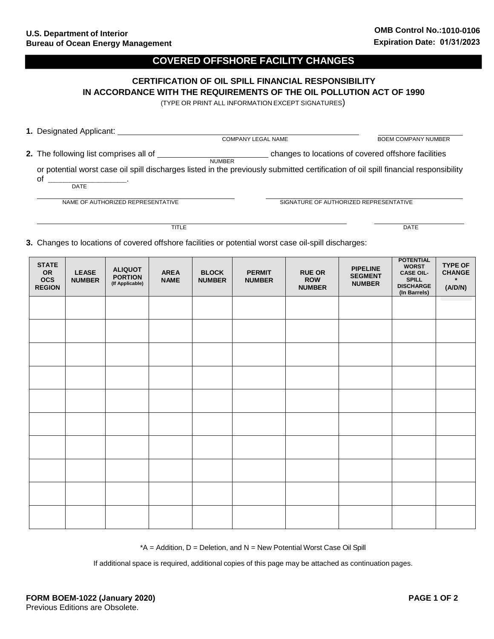## **COVERED OFFSHORE FACILITY CHANGES**

### **CERTIFICATION OF OIL SPILL FINANCIAL RESPONSIBILITY IN ACCORDANCE WITH THE REQUIREMENTS OF THE OIL POLLUTION ACT OF 1990**

(TYPE OR PRINT ALL INFORMATION EXCEPT SIGNATURES)

| 1. Designated Applicant:                                                                                                            |                           |                                                     |  |  |  |
|-------------------------------------------------------------------------------------------------------------------------------------|---------------------------|-----------------------------------------------------|--|--|--|
|                                                                                                                                     | <b>COMPANY LEGAL NAME</b> | <b>BOEM COMPANY NUMBER</b>                          |  |  |  |
| 2. The following list comprises all of                                                                                              |                           | changes to locations of covered offshore facilities |  |  |  |
| or potential worst case oil spill discharges listed in the previously submitted certification of oil spill financial responsibility | <b>NUMBER</b>             |                                                     |  |  |  |
| οf                                                                                                                                  |                           |                                                     |  |  |  |
| <b>DATE</b>                                                                                                                         |                           |                                                     |  |  |  |
|                                                                                                                                     |                           |                                                     |  |  |  |

NAME OF AUTHORIZED REPRESENTATIVE **SIGNATURE OF AUTHORIZED REPRESENTATIVE** 

TITLE DATE OF A STREET AND THE SERVICE OF A STREET AND THE STREET AND DESCRIPTION OF A STREET AND DESCRIPTION OF A STREET AND DESCRIPTION OF A STREET AND DESCRIPTION OF A STREET AND DESCRIPTION OF A STREET AND DESCRIPTION

**3.** Changes to locations of covered offshore facilities or potential worst case oil-spill discharges:

| <b>STATE</b><br>OR<br><b>OCS</b><br><b>REGION</b> | <b>LEASE</b><br><b>NUMBER</b> | <b>ALIQUOT</b><br><b>PORTION</b><br>(If Applicable) | <b>AREA</b><br><b>NAME</b> | <b>BLOCK</b><br><b>NUMBER</b> | <b>PERMIT</b><br><b>NUMBER</b> | <b>RUE OR</b><br><b>ROW</b><br><b>NUMBER</b> | <b>PIPELINE</b><br><b>SEGMENT</b><br><b>NUMBER</b> | <b>POTENTIAL</b><br><b>WORST</b><br><b>CASE OIL-</b><br><b>SPILL</b><br><b>DISCHARGE</b><br>(In Barrels) | <b>TYPE OF</b><br><b>CHANGE</b><br>$\star$<br>(A/D/N) |
|---------------------------------------------------|-------------------------------|-----------------------------------------------------|----------------------------|-------------------------------|--------------------------------|----------------------------------------------|----------------------------------------------------|----------------------------------------------------------------------------------------------------------|-------------------------------------------------------|
|                                                   |                               |                                                     |                            |                               |                                |                                              |                                                    |                                                                                                          |                                                       |
|                                                   |                               |                                                     |                            |                               |                                |                                              |                                                    |                                                                                                          |                                                       |
|                                                   |                               |                                                     |                            |                               |                                |                                              |                                                    |                                                                                                          |                                                       |
|                                                   |                               |                                                     |                            |                               |                                |                                              |                                                    |                                                                                                          |                                                       |
|                                                   |                               |                                                     |                            |                               |                                |                                              |                                                    |                                                                                                          |                                                       |
|                                                   |                               |                                                     |                            |                               |                                |                                              |                                                    |                                                                                                          |                                                       |
|                                                   |                               |                                                     |                            |                               |                                |                                              |                                                    |                                                                                                          |                                                       |
|                                                   |                               |                                                     |                            |                               |                                |                                              |                                                    |                                                                                                          |                                                       |
|                                                   |                               |                                                     |                            |                               |                                |                                              |                                                    |                                                                                                          |                                                       |
|                                                   |                               |                                                     |                            |                               |                                |                                              |                                                    |                                                                                                          |                                                       |

 $*A =$  Addition, D = Deletion, and N = New Potential Worst Case Oil Spill

If additional space is required, additional copies of this page may be attached as continuation pages.